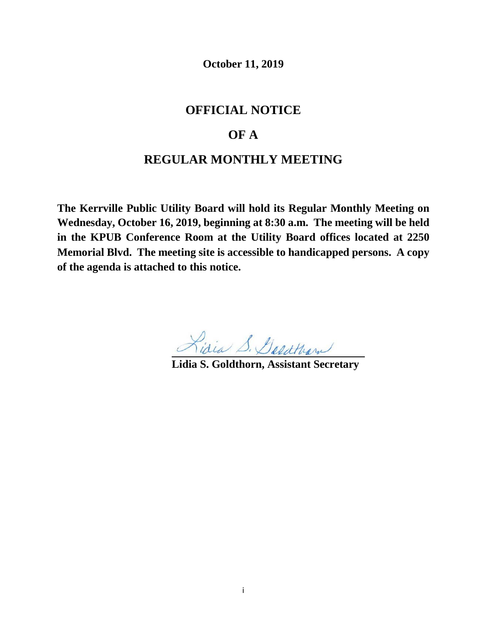**October 11, 2019**

## **OFFICIAL NOTICE**

# **OF A**

## **REGULAR MONTHLY MEETING**

**The Kerrville Public Utility Board will hold its Regular Monthly Meeting on Wednesday, October 16, 2019, beginning at 8:30 a.m. The meeting will be held in the KPUB Conference Room at the Utility Board offices located at 2250 Memorial Blvd. The meeting site is accessible to handicapped persons. A copy of the agenda is attached to this notice.**

Lidia S. Deadtham

**Lidia S. Goldthorn, Assistant Secretary**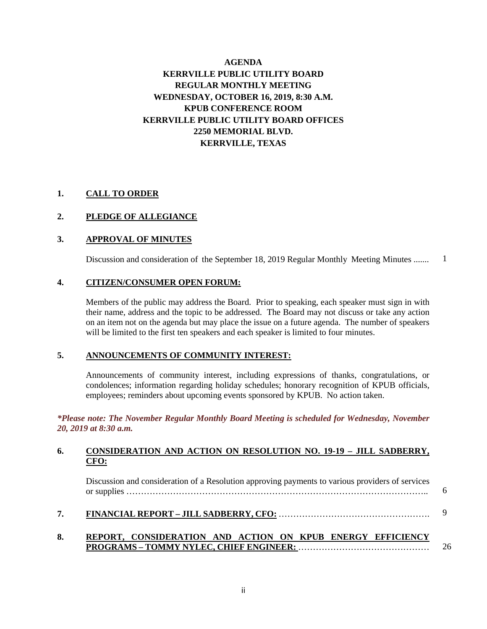## **AGENDA KERRVILLE PUBLIC UTILITY BOARD REGULAR MONTHLY MEETING WEDNESDAY, OCTOBER 16, 2019, 8:30 A.M. KPUB CONFERENCE ROOM KERRVILLE PUBLIC UTILITY BOARD OFFICES 2250 MEMORIAL BLVD. KERRVILLE, TEXAS**

### **1. CALL TO ORDER**

### **2. PLEDGE OF ALLEGIANCE**

#### **3. APPROVAL OF MINUTES**

Discussion and consideration of the September 18, 2019 Regular Monthly Meeting Minutes ....... 1

#### **4. CITIZEN/CONSUMER OPEN FORUM:**

Members of the public may address the Board. Prior to speaking, each speaker must sign in with their name, address and the topic to be addressed. The Board may not discuss or take any action on an item not on the agenda but may place the issue on a future agenda. The number of speakers will be limited to the first ten speakers and each speaker is limited to four minutes.

#### **5. ANNOUNCEMENTS OF COMMUNITY INTEREST:**

Announcements of community interest, including expressions of thanks, congratulations, or condolences; information regarding holiday schedules; honorary recognition of KPUB officials, employees; reminders about upcoming events sponsored by KPUB. No action taken.

*\*Please note: The November Regular Monthly Board Meeting is scheduled for Wednesday, November 20, 2019 at 8:30 a.m.*

#### **6. CONSIDERATION AND ACTION ON RESOLUTION NO. 19-19 – JILL SADBERRY, CFO:**

Discussion and consideration of a Resolution approving payments to various providers of services or supplies ………………………………………………………………………………………….. 6

#### **7. FINANCIAL REPORT – JILL SADBERRY, CFO:** ……………………………………………. 9

#### **8. REPORT, CONSIDERATION AND ACTION ON KPUB ENERGY EFFICIENCY PROGRAMS – TOMMY NYLEC, CHIEF ENGINEER:** ………………………………………

26